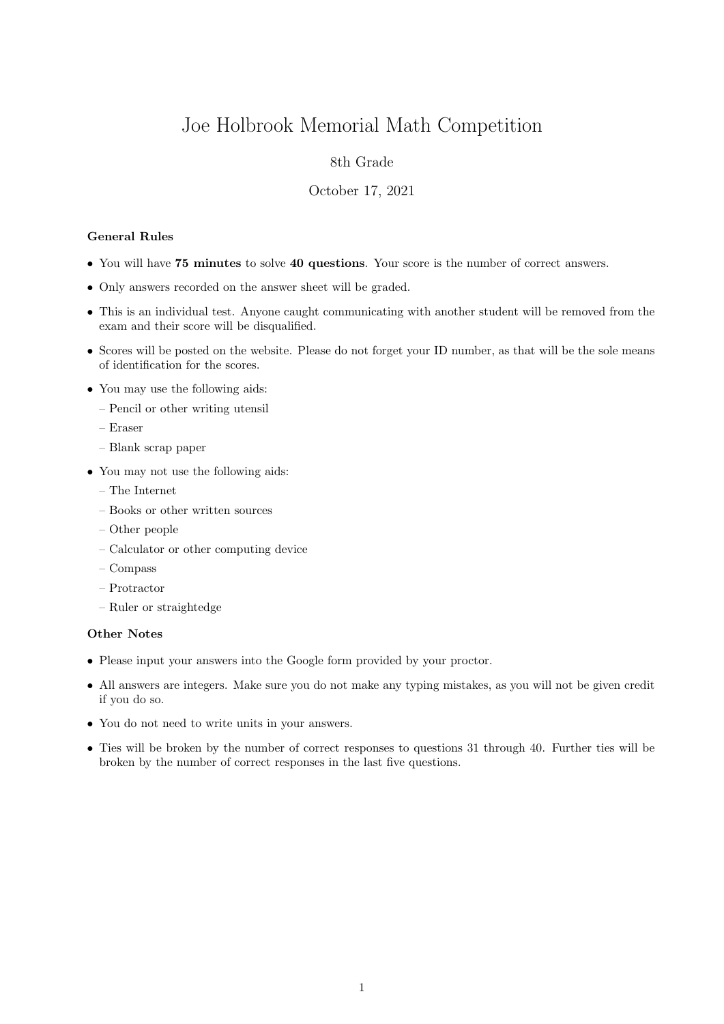# Joe Holbrook Memorial Math Competition

## 8th Grade

#### October 17, 2021

### General Rules

- You will have 75 minutes to solve 40 questions. Your score is the number of correct answers.
- Only answers recorded on the answer sheet will be graded.
- This is an individual test. Anyone caught communicating with another student will be removed from the exam and their score will be disqualified.
- Scores will be posted on the website. Please do not forget your ID number, as that will be the sole means of identification for the scores.
- You may use the following aids:
	- Pencil or other writing utensil
	- Eraser
	- Blank scrap paper
- You may not use the following aids:
	- The Internet
	- Books or other written sources
	- Other people
	- Calculator or other computing device
	- Compass
	- Protractor
	- Ruler or straightedge

#### Other Notes

- Please input your answers into the Google form provided by your proctor.
- All answers are integers. Make sure you do not make any typing mistakes, as you will not be given credit if you do so.
- You do not need to write units in your answers.
- Ties will be broken by the number of correct responses to questions 31 through 40. Further ties will be broken by the number of correct responses in the last five questions.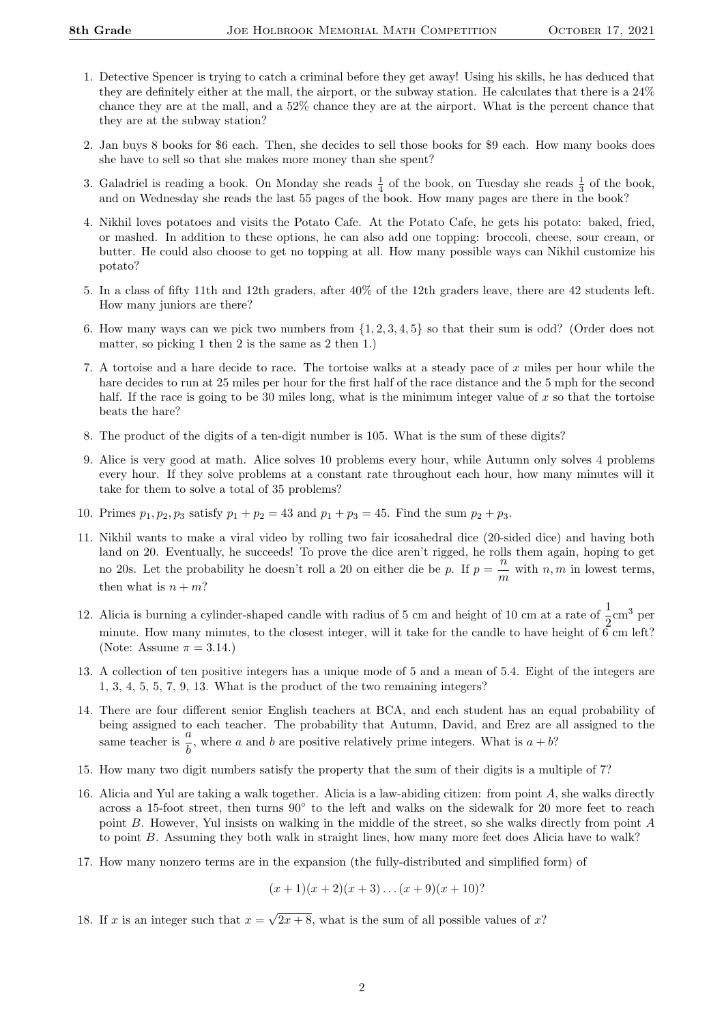- 1. Detective Spencer is trying to catch a criminal before they get away! Using his skills, he has deduced that they are definitely either at the mall, the airport, or the subway station. He calculates that there is a 24% chance they are at the mall, and a 52% chance they are at the airport. What is the percent chance that they are at the subway station?
- 2. Jan buys 8 books for \$6 each. Then, she decides to sell those books for \$9 each. How many books does she have to sell so that she makes more money than she spent?
- 3. Galadriel is reading a book. On Monday she reads  $\frac{1}{4}$  of the book, on Tuesday she reads  $\frac{1}{3}$  of the book, and on Wednesday she reads the last 55 pages of the book. How many pages are there in the book?
- 4. Nikhil loves potatoes and visits the Potato Cafe. At the Potato Cafe, he gets his potato: baked, fried, or mashed. In addition to these options, he can also add one topping: broccoli, cheese, sour cream, or butter. He could also choose to get no topping at all. How many possible ways can Nikhil customize his potato?
- 5. In a class of fifty 11th and 12th graders, after 40% of the 12th graders leave, there are 42 students left. How many juniors are there?
- 6. How many ways can we pick two numbers from {1, 2, 3, 4, 5} so that their sum is odd? (Order does not matter, so picking 1 then 2 is the same as 2 then 1.)
- 7. A tortoise and a hare decide to race. The tortoise walks at a steady pace of x miles per hour while the hare decides to run at 25 miles per hour for the first half of the race distance and the 5 mph for the second half. If the race is going to be 30 miles long, what is the minimum integer value of  $x$  so that the tortoise beats the hare?
- 8. The product of the digits of a ten-digit number is 105. What is the sum of these digits?
- 9. Alice is very good at math. Alice solves 10 problems every hour, while Autumn only solves 4 problems every hour. If they solve problems at a constant rate throughout each hour, how many minutes will it take for them to solve a total of 35 problems?
- 10. Primes  $p_1, p_2, p_3$  satisfy  $p_1 + p_2 = 43$  and  $p_1 + p_3 = 45$ . Find the sum  $p_2 + p_3$ .
- 11. Nikhil wants to make a viral video by rolling two fair icosahedral dice (20-sided dice) and having both land on 20. Eventually, he succeeds! To prove the dice aren't rigged, he rolls them again, hoping to get no 20s. Let the probability he doesn't roll a 20 on either die be p. If  $p = \frac{n}{2}$  $\frac{n}{m}$  with  $n, m$  in lowest terms, then what is  $n + m$ ?
- 12. Alicia is burning a cylinder-shaped candle with radius of 5 cm and height of 10 cm at a rate of  $\frac{1}{2}$ cm<sup>3</sup> per minute. How many minutes, to the closest integer, will it take for the candle to have height of  $6 \text{ cm}$  left? (Note: Assume  $\pi = 3.14$ .)
- 13. A collection of ten positive integers has a unique mode of 5 and a mean of 5.4. Eight of the integers are 1, 3, 4, 5, 5, 7, 9, 13. What is the product of the two remaining integers?
- 14. There are four different senior English teachers at BCA, and each student has an equal probability of being assigned to each teacher. The probability that Autumn, David, and Erez are all assigned to the same teacher is  $\frac{a}{b}$ , where a and b are positive relatively prime integers. What is  $a + b$ ?
- 15. How many two digit numbers satisfy the property that the sum of their digits is a multiple of 7?
- 16. Alicia and Yul are taking a walk together. Alicia is a law-abiding citizen: from point A, she walks directly across a 15-foot street, then turns 90° to the left and walks on the sidewalk for 20 more feet to reach point B. However, Yul insists on walking in the middle of the street, so she walks directly from point A to point B. Assuming they both walk in straight lines, how many more feet does Alicia have to walk?
- 17. How many nonzero terms are in the expansion (the fully-distributed and simplified form) of

$$
(x+1)(x+2)(x+3)...(x+9)(x+10)
$$
?

18. If x is an integer such that  $x =$ √  $2x + 8$ , what is the sum of all possible values of x?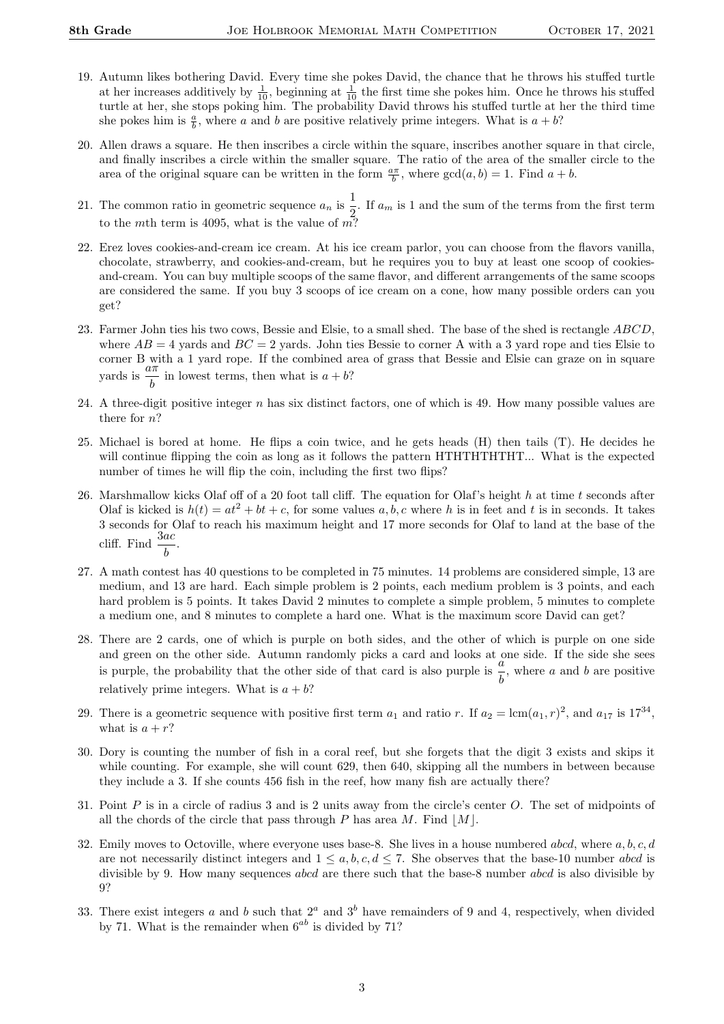- 19. Autumn likes bothering David. Every time she pokes David, the chance that he throws his stuffed turtle at her increases additively by  $\frac{1}{10}$ , beginning at  $\frac{1}{10}$  the first time she pokes him. Once he throws his stuffed turtle at her, she stops poking him. The probability David throws his stuffed turtle at her the third time she pokes him is  $\frac{a}{b}$ , where a and b are positive relatively prime integers. What is  $a + b$ ?
- 20. Allen draws a square. He then inscribes a circle within the square, inscribes another square in that circle, and finally inscribes a circle within the smaller square. The ratio of the area of the smaller circle to the area of the original square can be written in the form  $\frac{a\pi}{b}$ , where  $gcd(a, b) = 1$ . Find  $a + b$ .
- 21. The common ratio in geometric sequence  $a_n$  is  $\frac{1}{2}$  $\frac{1}{2}$ . If  $a_m$  is 1 and the sum of the terms from the first term to the mth term is 4095, what is the value of  $m$ ?
- 22. Erez loves cookies-and-cream ice cream. At his ice cream parlor, you can choose from the flavors vanilla, chocolate, strawberry, and cookies-and-cream, but he requires you to buy at least one scoop of cookiesand-cream. You can buy multiple scoops of the same flavor, and different arrangements of the same scoops are considered the same. If you buy 3 scoops of ice cream on a cone, how many possible orders can you get?
- 23. Farmer John ties his two cows, Bessie and Elsie, to a small shed. The base of the shed is rectangle ABCD, where  $AB = 4$  yards and  $BC = 2$  yards. John ties Bessie to corner A with a 3 yard rope and ties Elsie to corner B with a 1 yard rope. If the combined area of grass that Bessie and Elsie can graze on in square yards is  $\frac{a\pi}{b}$  in lowest terms, then what is  $a + b$ ?
- 24. A three-digit positive integer  $n$  has six distinct factors, one of which is 49. How many possible values are there for n?
- 25. Michael is bored at home. He flips a coin twice, and he gets heads (H) then tails (T). He decides he will continue flipping the coin as long as it follows the pattern HTHTHTHTHT... What is the expected number of times he will flip the coin, including the first two flips?
- 26. Marshmallow kicks Olaf off of a 20 foot tall cliff. The equation for Olaf's height  $h$  at time  $t$  seconds after Olaf is kicked is  $h(t) = at^2 + bt + c$ , for some values a, b, c where h is in feet and t is in seconds. It takes 3 seconds for Olaf to reach his maximum height and 17 more seconds for Olaf to land at the base of the cliff. Find  $\frac{3ac}{b}$ .
- 27. A math contest has 40 questions to be completed in 75 minutes. 14 problems are considered simple, 13 are medium, and 13 are hard. Each simple problem is 2 points, each medium problem is 3 points, and each hard problem is 5 points. It takes David 2 minutes to complete a simple problem, 5 minutes to complete a medium one, and 8 minutes to complete a hard one. What is the maximum score David can get?
- 28. There are 2 cards, one of which is purple on both sides, and the other of which is purple on one side and green on the other side. Autumn randomly picks a card and looks at one side. If the side she sees is purple, the probability that the other side of that card is also purple is  $\frac{a}{b}$ , where a and b are positive relatively prime integers. What is  $a + b$ ?
- 29. There is a geometric sequence with positive first term  $a_1$  and ratio r. If  $a_2 = \text{lcm}(a_1, r)^2$ , and  $a_{17}$  is  $17^{34}$ , what is  $a + r$ ?
- 30. Dory is counting the number of fish in a coral reef, but she forgets that the digit 3 exists and skips it while counting. For example, she will count 629, then 640, skipping all the numbers in between because they include a 3. If she counts 456 fish in the reef, how many fish are actually there?
- 31. Point P is in a circle of radius 3 and is 2 units away from the circle's center O. The set of midpoints of all the chords of the circle that pass through P has area M. Find  $|M|$ .
- 32. Emily moves to Octoville, where everyone uses base-8. She lives in a house numbered abcd, where  $a, b, c, d$ are not necessarily distinct integers and  $1 \le a, b, c, d \le 7$ . She observes that the base-10 number abcd is divisible by 9. How many sequences *abcd* are there such that the base-8 number *abcd* is also divisible by 9?
- 33. There exist integers a and b such that  $2^a$  and  $3^b$  have remainders of 9 and 4, respectively, when divided by 71. What is the remainder when  $6^{ab}$  is divided by 71?